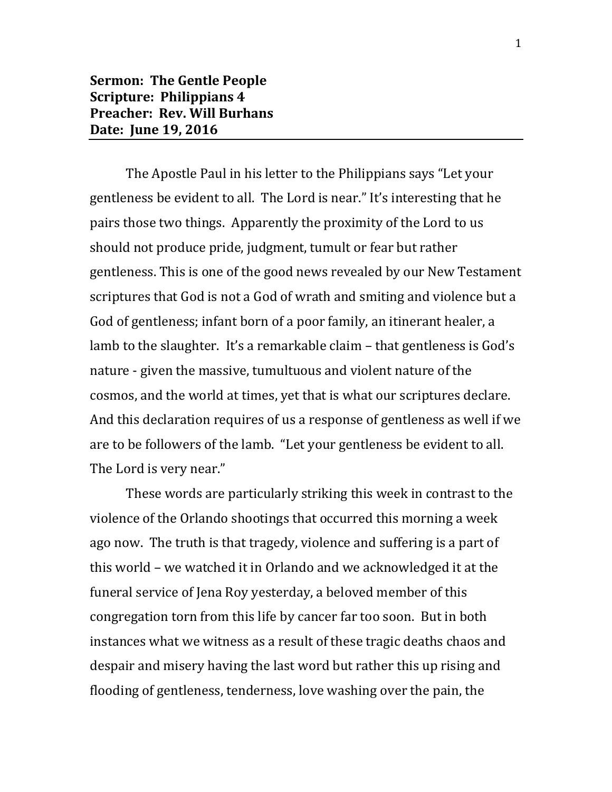## **Sermon: The Gentle People Scripture: Philippians 4 Preacher: Rev. Will Burhans Date: June 19, 2016**

The Apostle Paul in his letter to the Philippians says "Let your gentleness be evident to all. The Lord is near." It's interesting that he pairs those two things. Apparently the proximity of the Lord to us should not produce pride, judgment, tumult or fear but rather gentleness. This is one of the good news revealed by our New Testament scriptures that God is not a God of wrath and smiting and violence but a God of gentleness; infant born of a poor family, an itinerant healer, a lamb to the slaughter. It's a remarkable claim – that gentleness is God's nature - given the massive, tumultuous and violent nature of the cosmos, and the world at times, yet that is what our scriptures declare. And this declaration requires of us a response of gentleness as well if we are to be followers of the lamb. "Let your gentleness be evident to all. The Lord is very near."

These words are particularly striking this week in contrast to the violence of the Orlando shootings that occurred this morning a week ago now. The truth is that tragedy, violence and suffering is a part of this world – we watched it in Orlando and we acknowledged it at the funeral service of Jena Roy yesterday, a beloved member of this congregation torn from this life by cancer far too soon. But in both instances what we witness as a result of these tragic deaths chaos and despair and misery having the last word but rather this up rising and flooding of gentleness, tenderness, love washing over the pain, the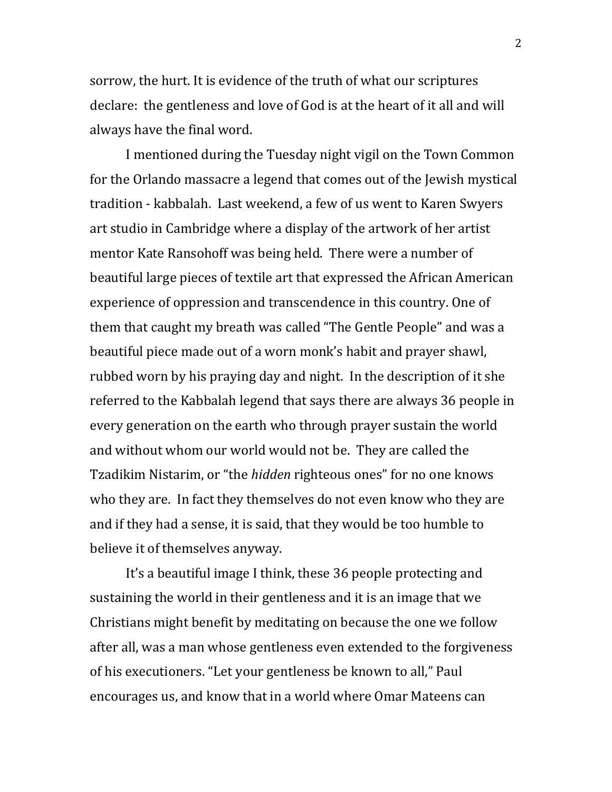sorrow, the hurt. It is evidence of the truth of what our scriptures declare: the gentleness and love of God is at the heart of it all and will always have the final word.

I mentioned during the Tuesday night vigil on the Town Common for the Orlando massacre a legend that comes out of the Jewish mystical tradition - kabbalah. Last weekend, a few of us went to Karen Swyers art studio in Cambridge where a display of the artwork of her artist mentor Kate Ransohoff was being held. There were a number of beautiful large pieces of textile art that expressed the African American experience of oppression and transcendence in this country. One of them that caught my breath was called "The Gentle People" and was a beautiful piece made out of a worn monk's habit and prayer shawl, rubbed worn by his praying day and night. In the description of it she referred to the Kabbalah legend that says there are always 36 people in every generation on the earth who through prayer sustain the world and without whom our world would not be. They are called the Tzadikim Nistarim, or "the *hidden* righteous ones" for no one knows who they are. In fact they themselves do not even know who they are and if they had a sense, it is said, that they would be too humble to believe it of themselves anyway.

It's a beautiful image I think, these 36 people protecting and sustaining the world in their gentleness and it is an image that we Christians might benefit by meditating on because the one we follow after all, was a man whose gentleness even extended to the forgiveness of his executioners. "Let your gentleness be known to all," Paul encourages us, and know that in a world where Omar Mateens can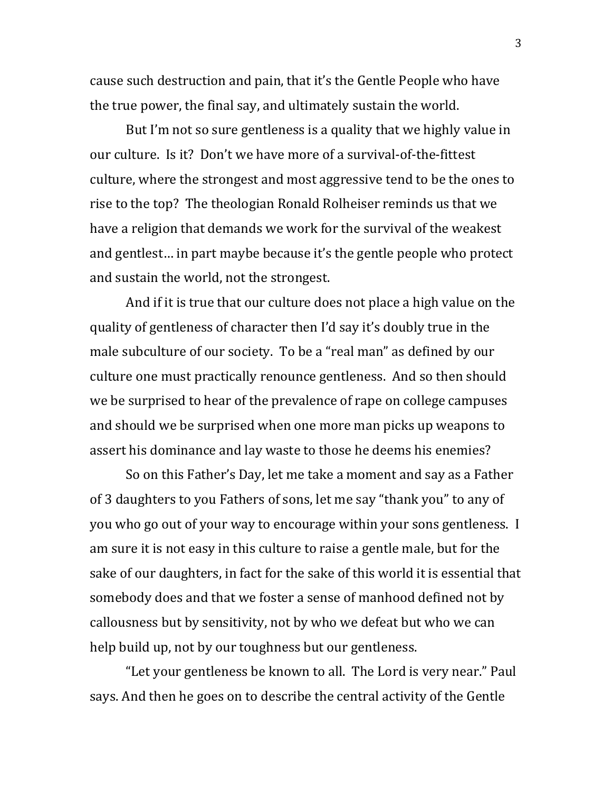cause such destruction and pain, that it's the Gentle People who have the true power, the final say, and ultimately sustain the world.

But I'm not so sure gentleness is a quality that we highly value in our culture. Is it? Don't we have more of a survival-of-the-fittest culture, where the strongest and most aggressive tend to be the ones to rise to the top? The theologian Ronald Rolheiser reminds us that we have a religion that demands we work for the survival of the weakest and gentlest… in part maybe because it's the gentle people who protect and sustain the world, not the strongest.

And if it is true that our culture does not place a high value on the quality of gentleness of character then I'd say it's doubly true in the male subculture of our society. To be a "real man" as defined by our culture one must practically renounce gentleness. And so then should we be surprised to hear of the prevalence of rape on college campuses and should we be surprised when one more man picks up weapons to assert his dominance and lay waste to those he deems his enemies?

So on this Father's Day, let me take a moment and say as a Father of 3 daughters to you Fathers of sons, let me say "thank you" to any of you who go out of your way to encourage within your sons gentleness. I am sure it is not easy in this culture to raise a gentle male, but for the sake of our daughters, in fact for the sake of this world it is essential that somebody does and that we foster a sense of manhood defined not by callousness but by sensitivity, not by who we defeat but who we can help build up, not by our toughness but our gentleness.

"Let your gentleness be known to all. The Lord is very near." Paul says. And then he goes on to describe the central activity of the Gentle

3